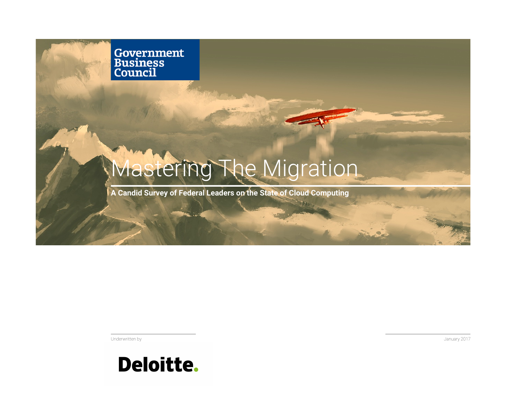**Government<br>Business<br>Council** 

# Mastering The Migration

**A Candid Survey of Federal Leaders on the State of Cloud Computing** 

Underwritten by



January 2017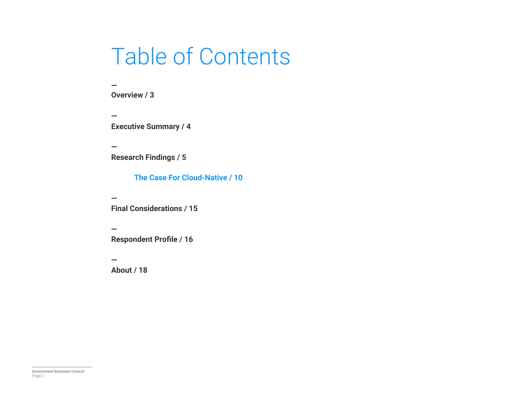## Table of Contents

**— Overview / 3** 

**— Executive Summary / 4** 

**— Research Findings / 5** 

**The Case For Cloud-Native / 10** 

**— Final Considerations / 15** 

**— Respondent Profile / 16** 

**— About / 18**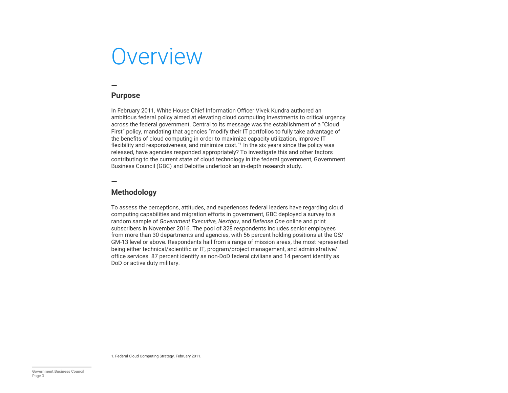## **Overview**

### **—**

#### **Purpose**

In February 2011, White House Chief Information Officer Vivek Kundra authored an ambitious federal policy aimed at elevating cloud computing investments to critical urgency across the federal government. Central to its message was the establishment of a "Cloud First" policy, mandating that agencies "modify their IT portfolios to fully take advantage of the benefits of cloud computing in order to maximize capacity utilization, improve IT flexibility and responsiveness, and minimize cost."<sup>1</sup> In the six years since the policy was released, have agencies responded appropriately? To investigate this and other factors contributing to the current state of cloud technology in the federal government, Government Business Council (GBC) and Deloitte undertook an in-depth research study.

**—**

#### **Methodology**

To assess the perceptions, attitudes, and experiences federal leaders have regarding cloud computing capabilities and migration efforts in government, GBC deployed a survey to a random sample of *Government Executive, Nextgov,* and *Defense One* online and print subscribers in November 2016. The pool of 328 respondents includes senior employees from more than 30 departments and agencies, with 56 percent holding positions at the GS/ GM-13 level or above. Respondents hail from a range of mission areas, the most represented being either technical/scientific or IT, program/project management, and administrative/ office services. 87 percent identify as non-DoD federal civilians and 14 percent identify as DoD or active duty military.

1. Federal Cloud Computing Strategy. February 2011.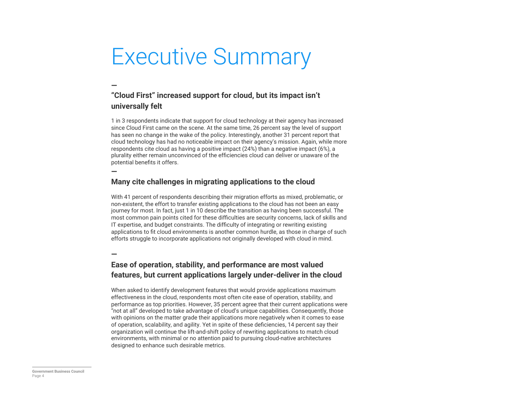## Executive Summary

### **"Cloud First" increased support for cloud, but its impact isn't universally felt**

1 in 3 respondents indicate that support for cloud technology at their agency has increased since Cloud First came on the scene. At the same time, 26 percent say the level of support has seen no change in the wake of the policy. Interestingly, another 31 percent report that cloud technology has had no noticeable impact on their agency's mission. Again, while more respondents cite cloud as having a positive impact (24%) than a negative impact (6%), a plurality either remain unconvinced of the efficiencies cloud can deliver or unaware of the potential benefits it offers.

#### **—**

**—**

#### **Many cite challenges in migrating applications to the cloud**

With 41 percent of respondents describing their migration efforts as mixed, problematic, or non-existent, the effort to transfer existing applications to the cloud has not been an easy journey for most. In fact, just 1 in 10 describe the transition as having been successful. The most common pain points cited for these difficulties are security concerns, lack of skills and IT expertise, and budget constraints. The difficulty of integrating or rewriting existing applications to fit cloud environments is another common hurdle, as those in charge of such efforts struggle to incorporate applications not originally developed with cloud in mind.

#### **—**

#### **Ease of operation, stability, and performance are most valued features, but current applications largely under-deliver in the cloud**

When asked to identify development features that would provide applications maximum effectiveness in the cloud, respondents most often cite ease of operation, stability, and performance as top priorities. However, 35 percent agree that their current applications were "not at all" developed to take advantage of cloud's unique capabilities. Consequently, those with opinions on the matter grade their applications more negatively when it comes to ease of operation, scalability, and agility. Yet in spite of these deficiencies, 14 percent say their organization will continue the lift-and-shift policy of rewriting applications to match cloud environments, with minimal or no attention paid to pursuing cloud-native architectures designed to enhance such desirable metrics.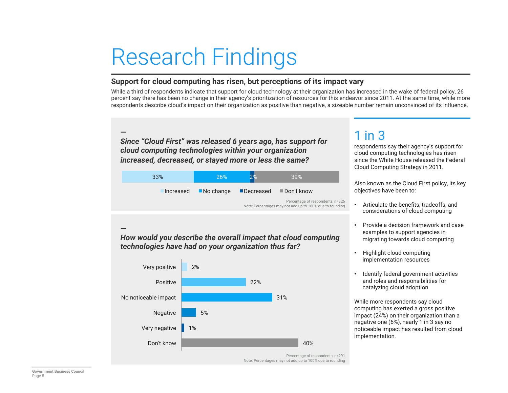# Research Findings

#### **Support for cloud computing has risen, but perceptions of its impact vary**

While a third of respondents indicate that support for cloud technology at their organization has increased in the wake of federal policy, 26 percent say there has been no change in their agency's prioritization of resources for this endeavor since 2011. At the same time, while more respondents describe cloud's impact on their organization as positive than negative, a sizeable number remain unconvinced of its influence.

**—**  *Since "Cloud First" was released 6 years ago, has support for cloud computing technologies within your organization increased, decreased, or stayed more or less the same?* 

| 33% | 26%                                | ን%        | <b>39%</b>                                                                                   |  |
|-----|------------------------------------|-----------|----------------------------------------------------------------------------------------------|--|
|     | Increased $\blacksquare$ No change | Decreased | $\blacksquare$ Don't know                                                                    |  |
|     |                                    |           | Percentage of respondents, n=326<br>Note: Percentages may not add up to 100% due to rounding |  |

**—**  *How would you describe the overall impact that cloud computing technologies have had on your organization thus far?* 



Note: Percentages may not add up to 100% due to rounding

## 1 in 3

respondents say their agency's support for cloud computing technologies has risen since the White House released the Federal Cloud Computing Strategy in 2011.

Also known as the Cloud First policy, its key objectives have been to:

- Articulate the benefits, tradeoffs, and considerations of cloud computing
- Provide a decision framework and case examples to support agencies in migrating towards cloud computing
- Highlight cloud computing implementation resources
- Identify federal government activities and roles and responsibilities for catalyzing cloud adoption

While more respondents say cloud computing has exerted a gross positive impact (24%) on their organization than a negative one (6%), nearly 1 in 3 say no noticeable impact has resulted from cloud implementation.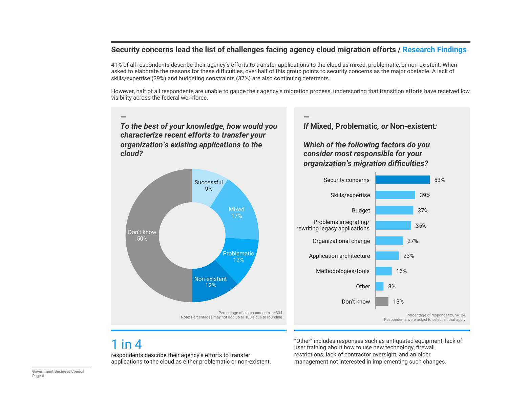#### **Security concerns lead the list of challenges facing agency cloud migration efforts / Research Findings**

41% of all respondents describe their agency's efforts to transfer applications to the cloud as mixed, problematic, or non-existent. When asked to elaborate the reasons for these difficulties, over half of this group points to security concerns as the major obstacle. A lack of skills/expertise (39%) and budgeting constraints (37%) are also continuing deterrents.

However, half of all respondents are unable to gauge their agency's migration process, underscoring that transition efforts have received low visibility across the federal workforce.



### 1 in 4

respondents describe their agency's efforts to transfer applications to the cloud as either problematic or non-existent.

"Other" includes responses such as antiquated equipment, lack of user training about how to use new technology, firewall restrictions, lack of contractor oversight, and an older management not interested in implementing such changes.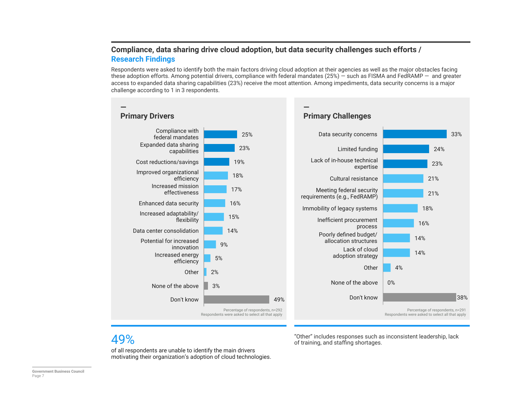#### **Compliance, data sharing drive cloud adoption, but data security challenges such efforts / Research Findings**

Respondents were asked to identify both the main factors driving cloud adoption at their agencies as well as the major obstacles facing these adoption efforts. Among potential drivers, compliance with federal mandates (25%) — such as FISMA and FedRAMP — and greater access to expanded data sharing capabilities (23%) receive the most attention. Among impediments, data security concerns is a major challenge according to 1 in 3 respondents.



"Other" includes responses such as inconsistent leadership, lack of training, and staffing shortages.

### 49%

of all respondents are unable to identify the main drivers motivating their organization's adoption of cloud technologies.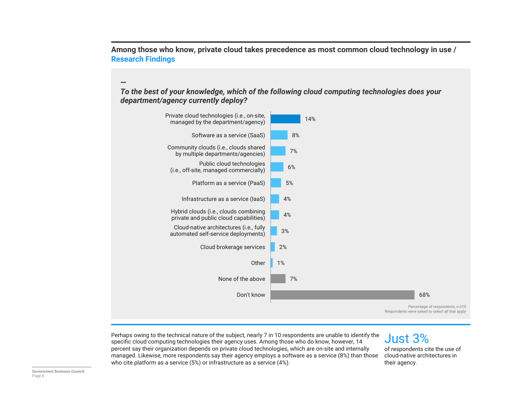**Among those who know, private cloud takes precedence as most common cloud technology in use / Research Findings** 

#### *To the best of your knowledge, which of the following cloud computing technologies does your department/agency currently deploy?*

![](_page_7_Figure_2.jpeg)

Perhaps owing to the technical nature of the subject, nearly 7 in 10 respondents are unable to identify the specific cloud computing technologies their agency uses. Among those who do know, however, 14 percent say their organization depends on private cloud technologies, which are on-site and internally managed. Likewise, more respondents say their agency employs a software as a service (8%) than those who cite platform as a service (5%) or infrastructure as a service (4%).

## Just 3%

of respondents cite the use of cloud-native architectures in their agency.

**—**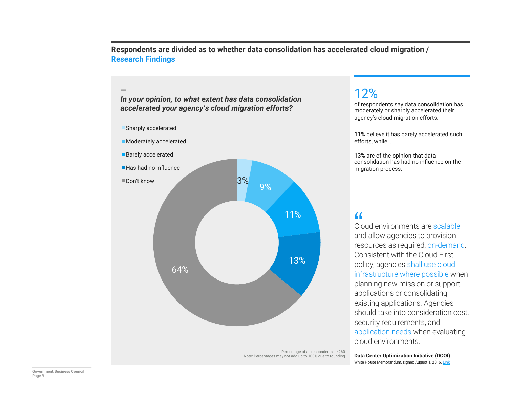**Respondents are divided as to whether data consolidation has accelerated cloud migration / Research Findings** 

**—**  *In your opinion, to what extent has data consolidation accelerated your agency's cloud migration efforts?* 

![](_page_8_Figure_2.jpeg)

Percentage of all respondents, n=260 Note: Percentages may not add up to 100% due to rounding

### 12%

of respondents say data consolidation has moderately or sharply accelerated their agency's cloud migration efforts.

**11%** believe it has barely accelerated such efforts, while…

**13%** are of the opinion that data consolidation has had no influence on the migration process.

 $C<sup>2</sup>$ Cloud environments are scalable and allow agencies to provision resources as required, on-demand. Consistent with the Cloud First policy, agencies shall use cloud infrastructure where possible when planning new mission or support applications or consolidating existing applications. Agencies should take into consideration cost, security requirements, and application needs when evaluating cloud environments.

**Data Center Optimization Initiative (DCOI)**  White House Memorandum, signed August 1, 2016. Link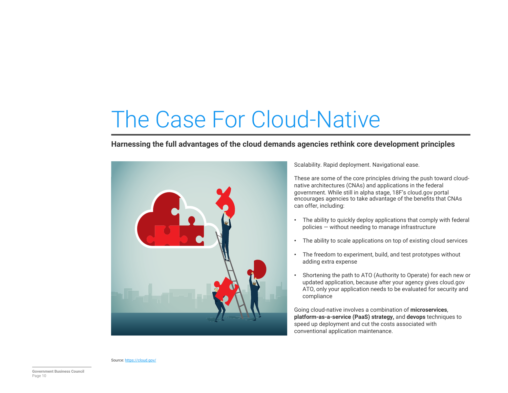# The Case For Cloud-Native

#### **Harnessing the full advantages of the cloud demands agencies rethink core development principles**

![](_page_9_Picture_2.jpeg)

Scalability. Rapid deployment. Navigational ease.

These are some of the core principles driving the push toward cloudnative architectures (CNAs) and applications in the federal government. While still in alpha stage, 18F's cloud.gov portal encourages agencies to take advantage of the benefits that CNAs can offer, including:

- The ability to quickly deploy applications that comply with federal policies — without needing to manage infrastructure
- The ability to scale applications on top of existing cloud services
- The freedom to experiment, build, and test prototypes without adding extra expense
- Shortening the path to ATO (Authority to Operate) for each new or updated application, because after your agency gives cloud.gov ATO, only your application needs to be evaluated for security and compliance

Going cloud-native involves a combination of **microservices**, **platform-as-a-service (PaaS) strategy,** and **devops** techniques to speed up deployment and cut the costs associated with conventional application maintenance.

Source: https://cloud.gov/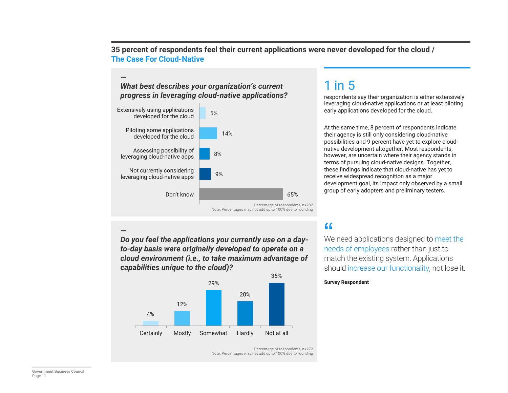**35 percent of respondents feel their current applications were never developed for the cloud / The Case For Cloud-Native** 

Percentage of respondents, n=272

Note: Percentages may not add up to 100% due to rounding

#### **—**  *What best describes your organization's current progress in leveraging cloud-native applications?*

![](_page_10_Figure_2.jpeg)

**—**  *Do you feel the applications you currently use on a dayto-day basis were originally developed to operate on a cloud environment (i.e., to take maximum advantage of capabilities unique to the cloud)?* 

![](_page_10_Figure_4.jpeg)

## 1 in 5

respondents say their organization is either extensively leveraging cloud-native applications or at least piloting early applications developed for the cloud.

At the same time, 8 percent of respondents indicate their agency is still only considering cloud-native possibilities and 9 percent have yet to explore cloudnative development altogether. Most respondents, however, are uncertain where their agency stands in terms of pursuing cloud-native designs. Together, these findings indicate that cloud-native has yet to receive widespread recognition as a major development goal, its impact only observed by a small group of early adopters and preliminary testers.

" We need applications designed to meet the needs of employees rather than just to match the existing system. Applications should increase our functionality, not lose it.

#### **Survey Respondent**

**Government Business Council** Page 11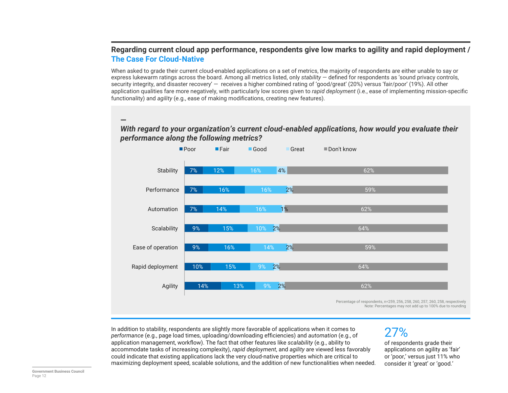#### **Regarding current cloud app performance, respondents give low marks to agility and rapid deployment / The Case For Cloud-Native**

When asked to grade their current cloud-enabled applications on a set of metrics, the majority of respondents are either unable to say or express lukewarm ratings across the board. Among all metrics listed, only *stability* — defined for respondents as 'sound privacy controls, security integrity, and disaster recovery' — receives a higher combined rating of 'good/great' (20%) versus 'fair/poor' (19%). All other application qualities fare more negatively, with particularly low scores given to *rapid deployment* (i.e., ease of implementing mission-specific functionality) and *agility* (e.g., ease of making modifications, creating new features).

#### *With regard to your organization's current cloud-enabled applications, how would you evaluate their performance along the following metrics?*

![](_page_11_Figure_3.jpeg)

Percentage of respondents, n=259, 256, 258, 260, 257, 260, 258, respectively Note: Percentages may not add up to 100% due to rounding

In addition to stability, respondents are slightly more favorable of applications when it comes to *performance* (e.g., page load times, uploading/downloading efficiencies) and *automation* (e.g., of application management, workflow). The fact that other features like *scalability* (e.g., ability to accommodate tasks of increasing complexity), *rapid deployment*, and *agility* are viewed less favorably could indicate that existing applications lack the very cloud-native properties which are critical to maximizing deployment speed, scalable solutions, and the addition of new functionalities when needed.

## 27%

of respondents grade their applications on agility as 'fair' or 'poor,' versus just 11% who consider it 'great' or 'good.'

**—**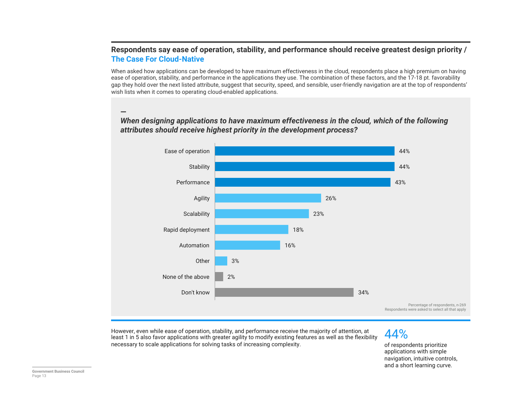#### **Respondents say ease of operation, stability, and performance should receive greatest design priority / The Case For Cloud-Native**

When asked how applications can be developed to have maximum effectiveness in the cloud, respondents place a high premium on having ease of operation, stability, and performance in the applications they use. The combination of these factors, and the 17-18 pt. favorability gap they hold over the next listed attribute, suggest that security, speed, and sensible, user-friendly navigation are at the top of respondents' wish lists when it comes to operating cloud-enabled applications.

#### **—**  *When designing applications to have maximum effectiveness in the cloud, which of the following attributes should receive highest priority in the development process?*

![](_page_12_Figure_3.jpeg)

However, even while ease of operation, stability, and performance receive the majority of attention, at least 1 in 5 also favor applications with greater agility to modify existing features as well as the flexibility necessary to scale applications for solving tasks of increasing complexity.

44%

of respondents prioritize applications with simple navigation, intuitive controls, and a short learning curve.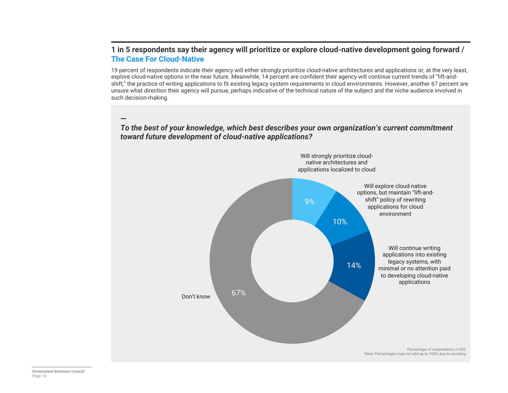#### **1 in 5 respondents say their agency will prioritize or explore cloud-native development going forward / The Case For Cloud-Native**

19 percent of respondents indicate their agency will either strongly prioritize cloud-native architectures and applications or, at the very least, explore cloud-native options in the near future. Meanwhile, 14 percent are confident their agency will continue current trends of "lift-andshift," the practice of writing applications to fit existing legacy system requirements in cloud environments. However, another 67 percent are unsure what direction their agency will pursue, perhaps indicative of the technical nature of the subject and the niche audience involved in such decision-making.

### 9% 10% 14% 67% Percentage of respondents, n=262 Note: Percentages may not add up to 100% due to rounding Will continue writing applications into existing legacy systems, with minimal or no attention paid to developing cloud-native applications Don't know Will explore cloud-native options, but maintain "lift-andshift" policy of rewriting applications for cloud environment Will strongly prioritize cloudnative architectures and applications localized to cloud

#### **—**  *To the best of your knowledge, which best describes your own organization's current commitment toward future development of cloud-native applications?*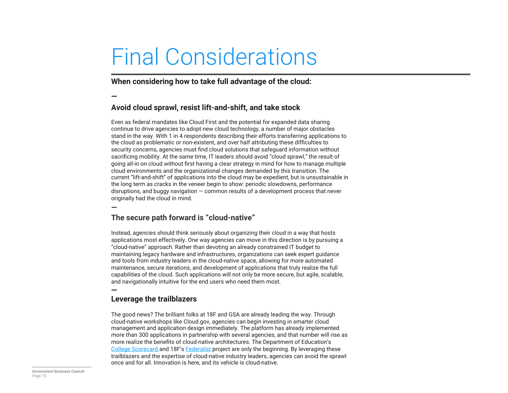# Final Considerations

**When considering how to take full advantage of the cloud:** 

**—**

#### **Avoid cloud sprawl, resist lift-and-shift, and take stock**

Even as federal mandates like Cloud First and the potential for expanded data sharing continue to drive agencies to adopt new cloud technology, a number of major obstacles stand in the way. With 1 in 4 respondents describing their efforts transferring applications to the cloud as problematic or non-existent, and over half attributing these difficulties to security concerns, agencies must find cloud solutions that safeguard information without sacrificing mobility. At the same time, IT leaders should avoid "cloud sprawl," the result of going all-in on cloud without first having a clear strategy in mind for how to manage multiple cloud environments and the organizational changes demanded by this transition. The current "lift-and-shift" of applications into the cloud may be expedient, but is unsustainable in the long term as cracks in the veneer begin to show: periodic slowdowns, performance disruptions, and buggy navigation — common results of a development process that never originally had the cloud in mind.

**—**

#### **The secure path forward is "cloud-native"**

Instead, agencies should think seriously about organizing their cloud in a way that hosts applications most effectively. One way agencies can move in this direction is by pursuing a "cloud-native" approach. Rather than devoting an already constrained IT budget to maintaining legacy hardware and infrastructures, organizations can seek expert guidance and tools from industry leaders in the cloud-native space, allowing for more automated maintenance, secure iterations, and development of applications that truly realize the full capabilities of the cloud. Such applications will not only be more secure, but agile, scalable, and navigationally intuitive for the end users who need them most.

#### **—**

#### **Leverage the trailblazers**

The good news? The brilliant folks at 18F and GSA are already leading the way. Through cloud-native workshops like Cloud.gov, agencies can begin investing in smarter cloud management and application design immediately. The platform has already implemented more than 300 applications in partnership with several agencies, and that number will rise as more realize the benefits of cloud-native architectures. The Department of Education's College Scorecard and 18F's Federalist project are only the beginning. By leveraging these trailblazers and the expertise of cloud-native industry leaders, agencies can avoid the sprawl once and for all. Innovation is here, and its vehicle is cloud-native.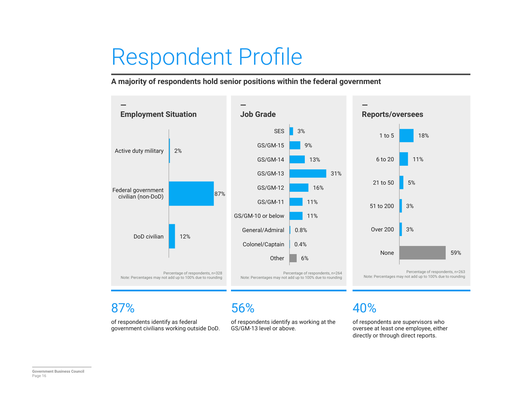# Respondent Profile

**A majority of respondents hold senior positions within the federal government** 

![](_page_15_Figure_2.jpeg)

### 87%

of respondents identify as federal government civilians working outside DoD.

### 56%

of respondents identify as working at the GS/GM-13 level or above.

## 40%

of respondents are supervisors who oversee at least one employee, either directly or through direct reports.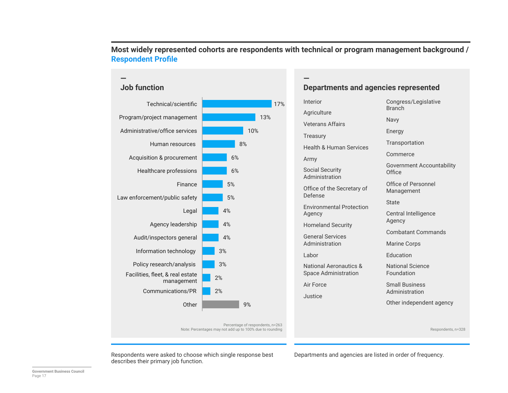![](_page_16_Figure_0.jpeg)

#### **Most widely represented cohorts are respondents with technical or program management background / Respondent Profile**

**—** 

Interior

**Departments and agencies represented** 

| Interior                                                         | Congress/Legislative<br><b>Branch</b>                      |  |
|------------------------------------------------------------------|------------------------------------------------------------|--|
| Agriculture                                                      |                                                            |  |
| <b>Veterans Affairs</b>                                          | Navy                                                       |  |
| <b>Treasury</b>                                                  | Energy                                                     |  |
| <b>Health &amp; Human Services</b>                               | Transportation                                             |  |
| Army                                                             | Commerce                                                   |  |
| <b>Social Security</b><br>Administration                         | <b>Government Accounta</b><br>Office                       |  |
| Office of the Secretary of<br>Defense                            | Office of Personnel<br>Management                          |  |
| <b>Environmental Protection</b>                                  | State                                                      |  |
| Agency                                                           | Central Intelligence<br>Agency<br><b>Combatant Command</b> |  |
| <b>Homeland Security</b>                                         |                                                            |  |
| <b>General Services</b>                                          |                                                            |  |
| Administration                                                   | <b>Marine Corps</b>                                        |  |
| Labor                                                            | <b>Education</b>                                           |  |
| <b>National Aeronautics &amp;</b><br><b>Space Administration</b> | <b>National Science</b><br>Foundation                      |  |
| Air Force                                                        | <b>Small Business</b>                                      |  |
| Justice                                                          | Administration                                             |  |
|                                                                  | Other independent ag                                       |  |
|                                                                  |                                                            |  |

nch Navy rgy nsportation nmerce ernment Accountability ce ce of Personnel **nagement** te tral Intelligence ncy! Combatant Commands ine Corps cation ional Science ndation all Business

er independent agency

Respondents, n=328

Respondents were asked to choose which single response best Departments and agencies are listed in order of frequency. describes their primary job function.